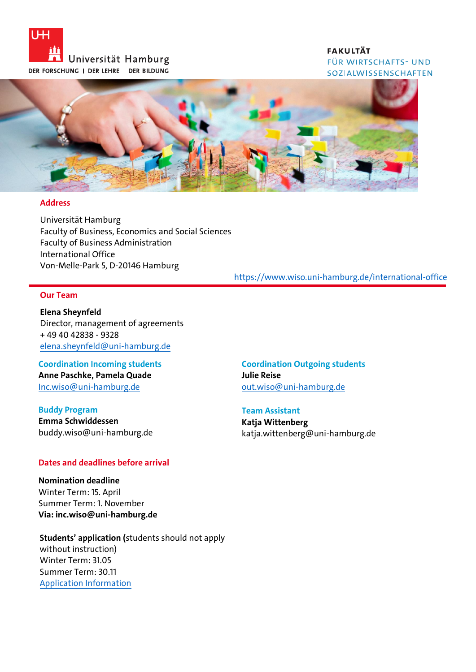

## **FAKULTÄT** FÜR WIRTSCHAFTS- UND SOZIALWISSENSCHAFTEN



#### **Address**

Universität Hamburg Faculty of Business, Economics and Social Sciences Faculty of Business Administration International Office Von-Melle-Park 5, D-20146 Hamburg

## <https://www.wiso.uni-hamburg.de/international-office>

## **Our Team**

**Elena Sheynfeld** Director, management of agreements + 49 40 42838 - 9328 [elena.sheynfeld@uni-hamburg.de](mailto:elena.sheynfeld@uni-hamburg.de)

**Coordination Incoming students Anne Paschke, Pamela Quade** [Inc.wiso@uni-hamburg.de](mailto:Inc.wiso@uni-hamburg.de)

**Buddy Program Emma Schwiddessen** [buddy.wiso@uni-hamburg.de](mailto:buddy.wiso@uni-hamburg.de)

## **Dates and deadlines before arrival**

**Nomination deadline** Winter Term: 15. April Summer Term: 1. November **Via: inc.wiso@uni-hamburg.de**

**Students' application (**students should not apply without instruction) Winter Term: 31.05 Summer Term: 30.11 [Application Information](https://www.wiso.uni-hamburg.de/internationales/international-office/study-with-us/exchange-students/application.html)

**Coordination Outgoing students Julie Reise** [out.wiso@uni-hamburg.de](mailto:out.wiso@uni-hamburg.de)

**Team Assistant Katja Wittenberg** 

katja.wittenberg@uni-hamburg.de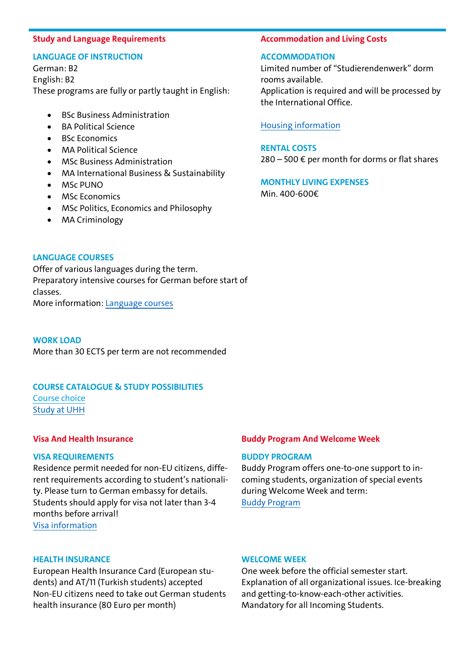#### **Study and Language Requirements**

## **LANGUAGE OF INSTRUCTION**

German: B2 English: B2 These programs are fully or partly taught in English:

- BSc Business Administration
- BA Political Science
- BSc Economics
- MA Political Science
- MSc Business Administration
- MA International Business & Sustainability
- MSc PUNO
- MSc Economics
- MSc Politics, Economics and Philosophy
- MA Criminology

#### **Accommodation and Living Costs**

#### **ACCOMMODATION**

Limited number of "Studierendenwerk" dorm rooms available. Application is required and will be processed by the International Office.

[Housing information](https://www.wiso.uni-hamburg.de/internationales/international-office/study-with-us/exchange-students/housing.html)

**RENTAL COSTS**  $280 - 500 \text{ } \in$  per month for dorms or flat shares

**MONTHLY LIVING EXPENSES** Min. 400-600€

## **LANGUAGE COURSES**

Offer of various languages during the term. Preparatory intensive courses for German before start of classes. More information: [Language courses](https://www.wiso.uni-hamburg.de/internationales/international-office/study-with-us/exchange-students/courses-and-lectures/language-courses.html)

**WORK LOAD**  More than 30 ECTS per term are not recommended

# **COURSE CATALOGUE & STUDY POSSIBILITIES**

[Course choice](https://www.wiso.uni-hamburg.de/internationales/international-office/study-with-us/exchange-students/courses-and-lectures/course-choice.html) [Study at UHH](https://www.wiso.uni-hamburg.de/internationales/international-office/study-with-us/study-at-hh.html)

#### **Visa And Health Insurance**

#### **VISA REQUIREMENTS**

Residence permit needed for non-EU citizens, different requirements according to student's nationality. Please turn to German embassy for details. Students should apply for visa not later than 3-4 months before arrival! [Visa information](https://www.wiso.uni-hamburg.de/internationales/international-office/study-with-us/exchange-students/further-information.html)

#### **HEALTH INSURANCE**

European Health Insurance Card (European students) and AT/11 (Turkish students) accepted Non-EU citizens need to take out German students health insurance (80 Euro per month)

#### **Buddy Program And Welcome Week**

#### **BUDDY PROGRAM**

Buddy Program offers one-to-one support to incoming students, organization of special events during Welcome Week and term: [Buddy Program](https://www.wiso.uni-hamburg.de/internationales/international-office/buddy-programm/fuer-internationale-studierende.html)

#### **WELCOME WEEK**

One week before the official semester start. Explanation of all organizational issues. Ice-breaking and getting-to-know-each-other activities. Mandatory for all Incoming Students.